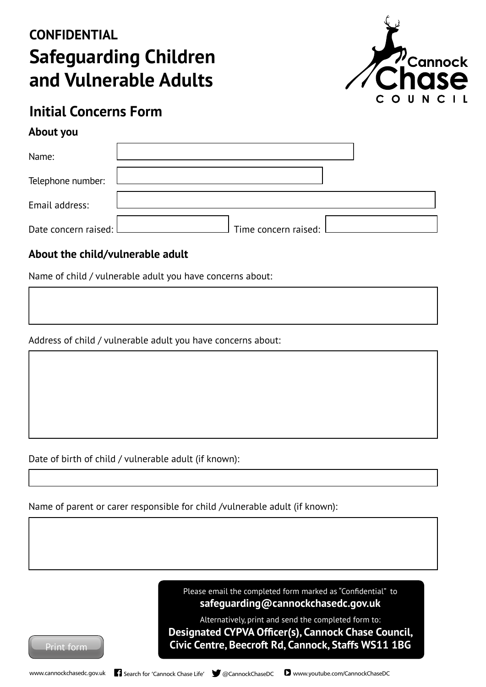# **Safeguarding Children and Vulnerable Adults CONFIDENTIAL**



## **Initial Concerns Form**

#### **About you**

| Name:                  |                      |
|------------------------|----------------------|
| Telephone number:      |                      |
| Email address:         |                      |
| Date concern raised: L | Time concern raised: |

### **About the child/vulnerable adult**

Name of child / vulnerable adult you have concerns about:

Address of child / vulnerable adult you have concerns about:

Date of birth of child / vulnerable adult (if known):

Name of parent or carer responsible for child /vulnerable adult (if known):

Please email the completed form marked as "Confidential" to **safeguarding@cannockchasedc.gov.uk**

Alternatively, print and send the completed form to: **Designated CYPVA Officer(s), Cannock Chase Council, Civic Centre, Beecroft Rd, Cannock, Staffs WS11 1BG**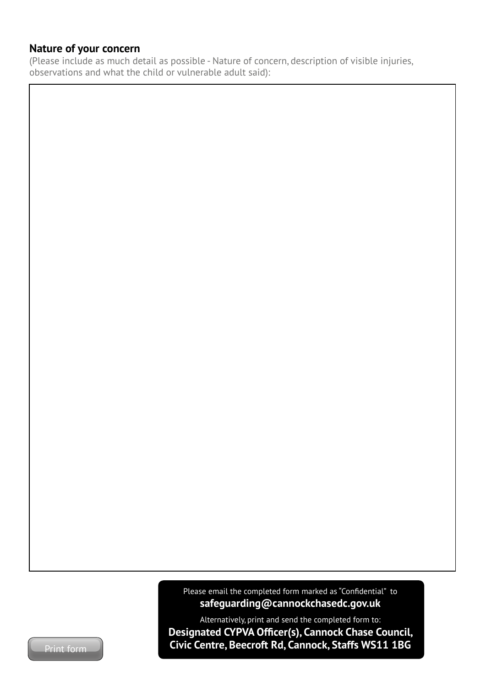#### **Nature of your concern**

(Please include as much detail as possible - Nature of concern, description of visible injuries, observations and what the child or vulnerable adult said):

> Please email the completed form marked as "Confidential" to **safeguarding@cannockchasedc.gov.uk**

Alternatively, print and send the completed form to: **Designated CYPVA Officer(s), Cannock Chase Council, Print form Civic Centre, Beecroft Rd, Cannock, Staffs WS11 1BG**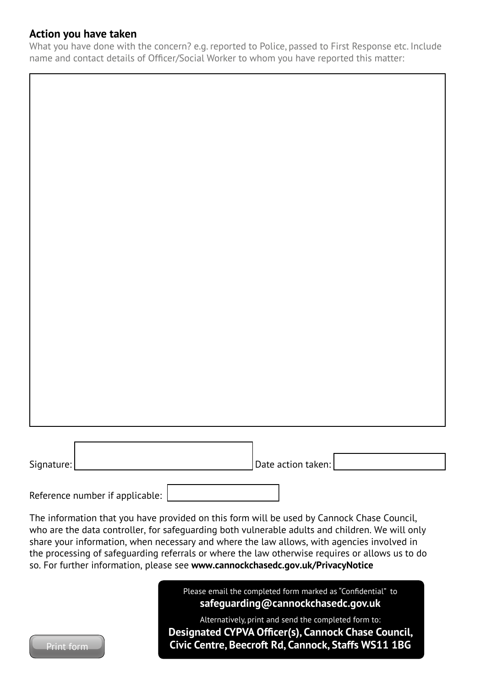#### **Action you have taken**

What you have done with the concern? e.g. reported to Police, passed to First Response etc. Include name and contact details of Officer/Social Worker to whom you have reported this matter:

| Signature: | Date action taken: |
|------------|--------------------|

Reference number if applicable:

The information that you have provided on this form will be used by Cannock Chase Council, who are the data controller, for safeguarding both vulnerable adults and children. We will only share your information, when necessary and where the law allows, with agencies involved in the processing of safeguarding referrals or where the law otherwise requires or allows us to do so. For further information, please see **www.cannockchasedc.gov.uk/PrivacyNotice**



Please email the completed form marked as "Confidential" to **safeguarding@cannockchasedc.gov.uk**

Alternatively, print and send the completed form to: **Designated CYPVA Officer(s), Cannock Chase Council,**  Print form **Civic Centre, Beecroft Rd, Cannock, Staffs WS11 1BG**